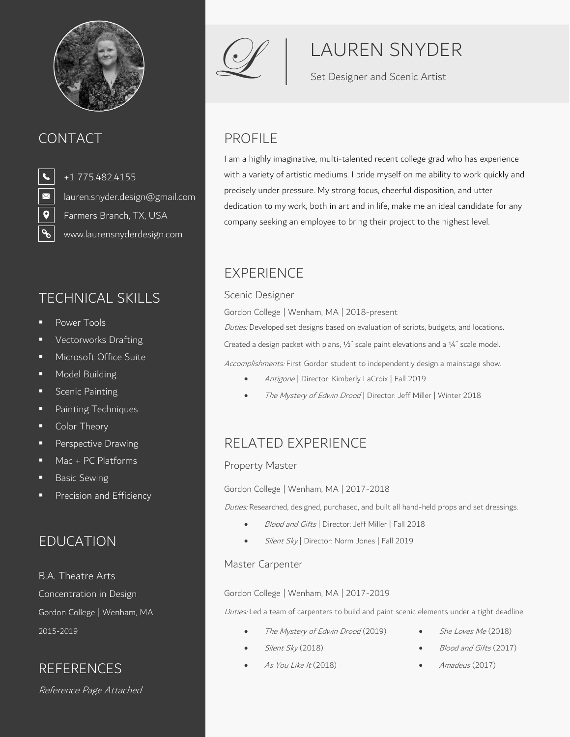

## CONTACT PROFILE

 $\boxtimes$  $\overline{\mathbf{Q}}$ 

+1 775.482.4155 [lauren.snyder.design@gmail.com](mailto:lauren.snyder.design@gmail.com) Farmers Branch, TX, USA [www.laurensnyderdesign.com](http://www.laurensnyderdesign.com/)

## TECHNICAL SKILLS Scenic Designer

- Power Tools
- Vectorworks Drafting
- **■** Microsoft Office Suite
- Model Building
- **■** Scenic Painting
- Painting Techniques
- Color Theory
- Perspective Drawing
- Mac + PC Platforms
- Basic Sewing
- Precision and Efficiency

## EDUCATION

B.A. Theatre Arts

Reference Page Attached



# LAUREN SNYDER

Set Designer and Scenic Artist

I am a highly imaginative, multi-talented recent college grad who has experience with a variety of artistic mediums. I pride myself on me ability to work quickly and precisely under pressure. My strong focus, cheerful disposition, and utter dedication to my work, both in art and in life, make me an ideal candidate for any company seeking an employee to bring their project to the highest level.

## EXPERIENCE

Gordon College | Wenham, MA | 2018-present

Duties: Developed set designs based on evaluation of scripts, budgets, and locations.

Created a design packet with plans, ½" scale paint elevations and a ¼" scale model.

Accomplishments: First Gordon student to independently design a mainstage show.

- Antigone | Director: Kimberly LaCroix | Fall 2019
- The Mystery of Edwin Drood | Director: Jeff Miller | Winter 2018

## RELATED EXPERIENCE

### Property Master

Gordon College | Wenham, MA | 2017-2018

Duties: Researched, designed, purchased, and built all hand-held props and set dressings.

- Blood and Gifts | Director: Jeff Miller | Fall 2018
- Silent Sky | Director: Norm Jones | Fall 2019

### Master Carpenter

### Concentration in Design Gordon College | Wenham, MA | 2017-2019

Gordon College | Wenham, MA Duties: Led a team of carpenters to build and paint scenic elements under a tight deadline.

- 2015-2019 The Mystery of Edwin Drood (2019)
- She Loves Me (2018)

Silent Sky (2018)

- Blood and Gifts (2017)
- 
- As You Like It (2018) REFERENCES • As You Like It (2018) • Amadeus (2017)